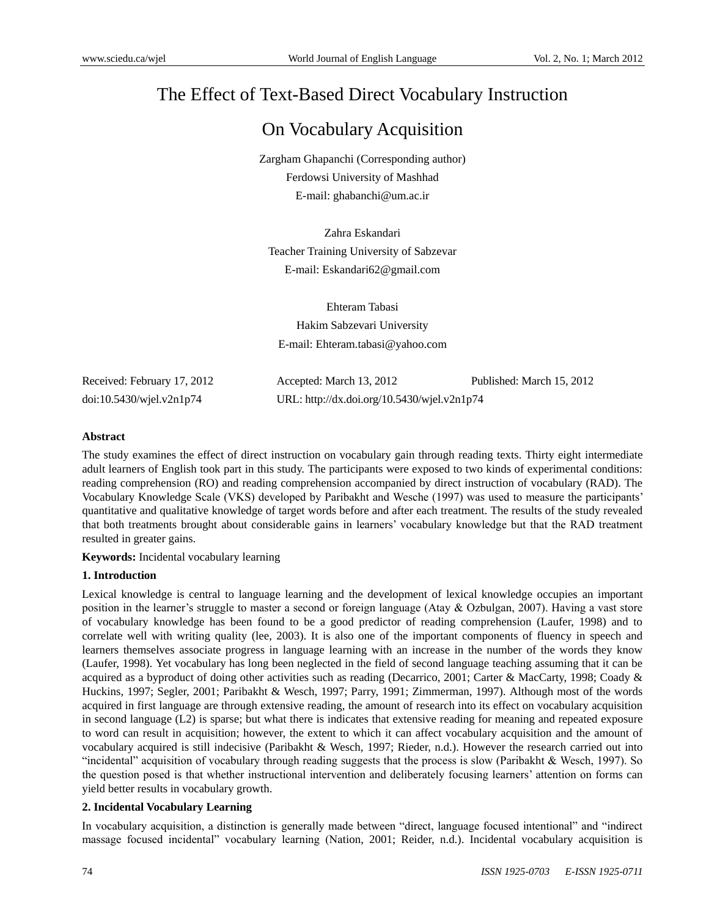# The Effect of Text-Based Direct Vocabulary Instruction

## On Vocabulary Acquisition

Zargham Ghapanchi (Corresponding author) Ferdowsi University of Mashhad E-mail: [ghabanchi@um.ac.ir](mailto:ghabanchi@um.ac.ir)

Zahra Eskandari Teacher Training University of Sabzevar E-mail: [Eskandari62@gmail.com](mailto:Eskandari62@gmail.com)

Ehteram Tabasi Hakim Sabzevari University E-mail: Ehteram.tabasi@yahoo.com

Received: February 17, 2012 Accepted: March 13, 2012 Published: March 15, 2012 doi:10.5430/wjel.v2n1p74 URL: http://dx.doi.org/10.5430/wjel.v2n1p74

## **Abstract**

The study examines the effect of direct instruction on vocabulary gain through reading texts. Thirty eight intermediate adult learners of English took part in this study. The participants were exposed to two kinds of experimental conditions: reading comprehension (RO) and reading comprehension accompanied by direct instruction of vocabulary (RAD). The Vocabulary Knowledge Scale (VKS) developed by Paribakht and Wesche (1997) was used to measure the participants' quantitative and qualitative knowledge of target words before and after each treatment. The results of the study revealed that both treatments brought about considerable gains in learners' vocabulary knowledge but that the RAD treatment resulted in greater gains.

**Keywords:** Incidental vocabulary learning

#### **1. Introduction**

Lexical knowledge is central to language learning and the development of lexical knowledge occupies an important position in the learner's struggle to master a second or foreign language (Atay & Ozbulgan, 2007). Having a vast store of vocabulary knowledge has been found to be a good predictor of reading comprehension (Laufer, 1998) and to correlate well with writing quality (lee, 2003). It is also one of the important components of fluency in speech and learners themselves associate progress in language learning with an increase in the number of the words they know (Laufer, 1998). Yet vocabulary has long been neglected in the field of second language teaching assuming that it can be acquired as a byproduct of doing other activities such as reading (Decarrico, 2001; Carter & MacCarty, 1998; Coady & Huckins, 1997; Segler, 2001; Paribakht & Wesch, 1997; Parry, 1991; Zimmerman, 1997). Although most of the words acquired in first language are through extensive reading, the amount of research into its effect on vocabulary acquisition in second language (L2) is sparse; but what there is indicates that extensive reading for meaning and repeated exposure to word can result in acquisition; however, the extent to which it can affect vocabulary acquisition and the amount of vocabulary acquired is still indecisive (Paribakht & Wesch, 1997; Rieder, n.d.). However the research carried out into "incidental" acquisition of vocabulary through reading suggests that the process is slow (Paribakht & Wesch, 1997). So the question posed is that whether instructional intervention and deliberately focusing learners' attention on forms can yield better results in vocabulary growth.

## **2. Incidental Vocabulary Learning**

In vocabulary acquisition, a distinction is generally made between "direct, language focused intentional" and "indirect massage focused incidental" vocabulary learning (Nation, 2001; Reider, n.d.). Incidental vocabulary acquisition is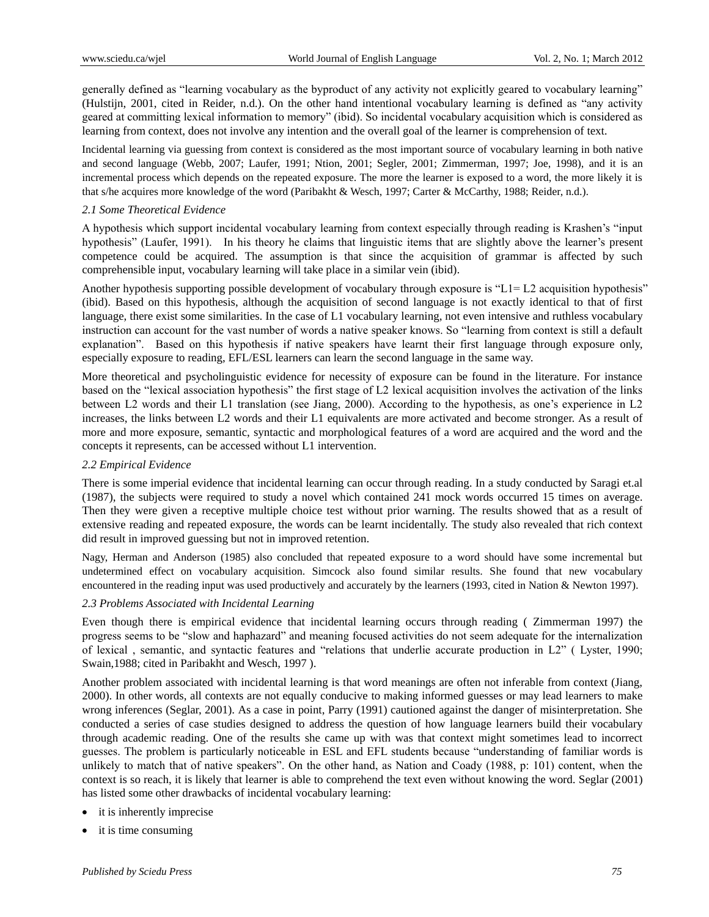generally defined as "learning vocabulary as the byproduct of any activity not explicitly geared to vocabulary learning" (Hulstijn, 2001, cited in Reider, n.d.). On the other hand intentional vocabulary learning is defined as "any activity geared at committing lexical information to memory" (ibid). So incidental vocabulary acquisition which is considered as learning from context, does not involve any intention and the overall goal of the learner is comprehension of text.

Incidental learning via guessing from context is considered as the most important source of vocabulary learning in both native and second language (Webb, 2007; Laufer, 1991; Ntion, 2001; Segler, 2001; Zimmerman, 1997; Joe, 1998), and it is an incremental process which depends on the repeated exposure. The more the learner is exposed to a word, the more likely it is that s/he acquires more knowledge of the word (Paribakht & Wesch, 1997; Carter & McCarthy, 1988; Reider, n.d.).

## *2.1 Some Theoretical Evidence*

A hypothesis which support incidental vocabulary learning from context especially through reading is Krashen's "input hypothesis" (Laufer, 1991). In his theory he claims that linguistic items that are slightly above the learner's present competence could be acquired. The assumption is that since the acquisition of grammar is affected by such comprehensible input, vocabulary learning will take place in a similar vein (ibid).

Another hypothesis supporting possible development of vocabulary through exposure is " $L1 = L2$  acquisition hypothesis" (ibid). Based on this hypothesis, although the acquisition of second language is not exactly identical to that of first language, there exist some similarities. In the case of L1 vocabulary learning, not even intensive and ruthless vocabulary instruction can account for the vast number of words a native speaker knows. So "learning from context is still a default explanation". Based on this hypothesis if native speakers have learnt their first language through exposure only, especially exposure to reading, EFL/ESL learners can learn the second language in the same way.

More theoretical and psycholinguistic evidence for necessity of exposure can be found in the literature. For instance based on the "lexical association hypothesis" the first stage of L2 lexical acquisition involves the activation of the links between L2 words and their L1 translation (see Jiang, 2000). According to the hypothesis, as one's experience in L2 increases, the links between L2 words and their L1 equivalents are more activated and become stronger. As a result of more and more exposure, semantic, syntactic and morphological features of a word are acquired and the word and the concepts it represents, can be accessed without L1 intervention.

## *2.2 Empirical Evidence*

There is some imperial evidence that incidental learning can occur through reading. In a study conducted by Saragi et.al (1987), the subjects were required to study a novel which contained 241 mock words occurred 15 times on average. Then they were given a receptive multiple choice test without prior warning. The results showed that as a result of extensive reading and repeated exposure, the words can be learnt incidentally. The study also revealed that rich context did result in improved guessing but not in improved retention.

Nagy, Herman and Anderson (1985) also concluded that repeated exposure to a word should have some incremental but undetermined effect on vocabulary acquisition. Simcock also found similar results. She found that new vocabulary encountered in the reading input was used productively and accurately by the learners (1993, cited in Nation & Newton 1997).

#### *2.3 Problems Associated with Incidental Learning*

Even though there is empirical evidence that incidental learning occurs through reading ( Zimmerman 1997) the progress seems to be "slow and haphazard" and meaning focused activities do not seem adequate for the internalization of lexical , semantic, and syntactic features and "relations that underlie accurate production in L2" ( Lyster, 1990; Swain,1988; cited in Paribakht and Wesch, 1997 ).

Another problem associated with incidental learning is that word meanings are often not inferable from context (Jiang, 2000). In other words, all contexts are not equally conducive to making informed guesses or may lead learners to make wrong inferences (Seglar, 2001). As a case in point, Parry (1991) cautioned against the danger of misinterpretation. She conducted a series of case studies designed to address the question of how language learners build their vocabulary through academic reading. One of the results she came up with was that context might sometimes lead to incorrect guesses. The problem is particularly noticeable in ESL and EFL students because "understanding of familiar words is unlikely to match that of native speakers". On the other hand, as Nation and Coady (1988, p: 101) content, when the context is so reach, it is likely that learner is able to comprehend the text even without knowing the word. Seglar (2001) has listed some other drawbacks of incidental vocabulary learning:

- it is inherently imprecise
- it is time consuming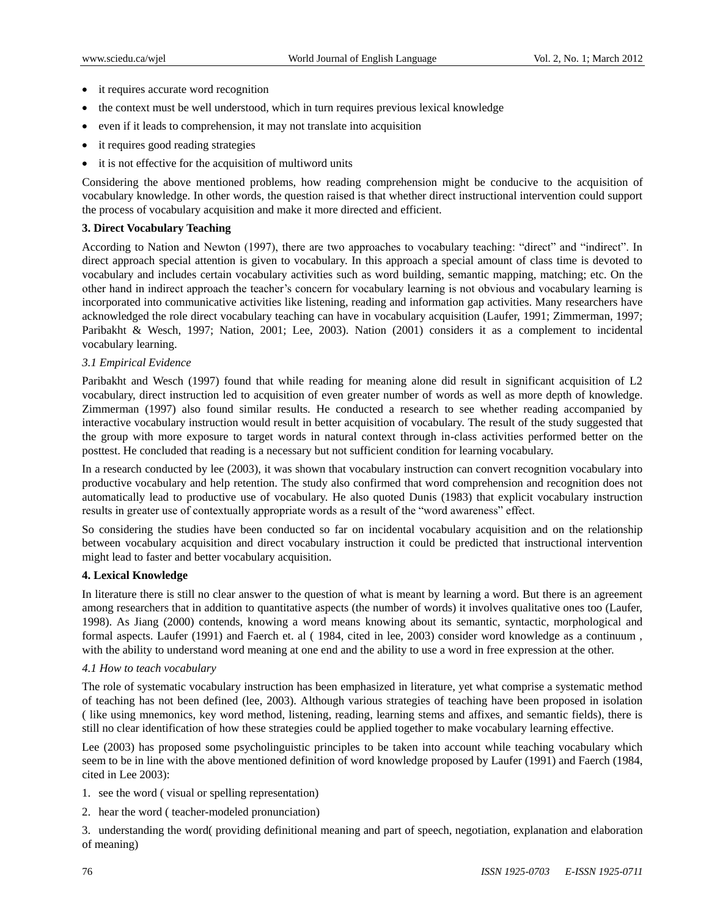- it requires accurate word recognition
- the context must be well understood, which in turn requires previous lexical knowledge
- even if it leads to comprehension, it may not translate into acquisition
- it requires good reading strategies
- it is not effective for the acquisition of multiword units

Considering the above mentioned problems, how reading comprehension might be conducive to the acquisition of vocabulary knowledge. In other words, the question raised is that whether direct instructional intervention could support the process of vocabulary acquisition and make it more directed and efficient.

#### **3. Direct Vocabulary Teaching**

According to Nation and Newton (1997), there are two approaches to vocabulary teaching: "direct" and "indirect". In direct approach special attention is given to vocabulary. In this approach a special amount of class time is devoted to vocabulary and includes certain vocabulary activities such as word building, semantic mapping, matching; etc. On the other hand in indirect approach the teacher's concern for vocabulary learning is not obvious and vocabulary learning is incorporated into communicative activities like listening, reading and information gap activities. Many researchers have acknowledged the role direct vocabulary teaching can have in vocabulary acquisition (Laufer, 1991; Zimmerman, 1997; Paribakht & Wesch, 1997; Nation, 2001; Lee, 2003). Nation (2001) considers it as a complement to incidental vocabulary learning.

#### *3.1 Empirical Evidence*

Paribakht and Wesch (1997) found that while reading for meaning alone did result in significant acquisition of L2 vocabulary, direct instruction led to acquisition of even greater number of words as well as more depth of knowledge. Zimmerman (1997) also found similar results. He conducted a research to see whether reading accompanied by interactive vocabulary instruction would result in better acquisition of vocabulary. The result of the study suggested that the group with more exposure to target words in natural context through in-class activities performed better on the posttest. He concluded that reading is a necessary but not sufficient condition for learning vocabulary.

In a research conducted by lee (2003), it was shown that vocabulary instruction can convert recognition vocabulary into productive vocabulary and help retention. The study also confirmed that word comprehension and recognition does not automatically lead to productive use of vocabulary. He also quoted Dunis (1983) that explicit vocabulary instruction results in greater use of contextually appropriate words as a result of the "word awareness" effect.

So considering the studies have been conducted so far on incidental vocabulary acquisition and on the relationship between vocabulary acquisition and direct vocabulary instruction it could be predicted that instructional intervention might lead to faster and better vocabulary acquisition.

#### **4. Lexical Knowledge**

In literature there is still no clear answer to the question of what is meant by learning a word. But there is an agreement among researchers that in addition to quantitative aspects (the number of words) it involves qualitative ones too (Laufer, 1998). As Jiang (2000) contends, knowing a word means knowing about its semantic, syntactic, morphological and formal aspects. Laufer (1991) and Faerch et. al ( 1984, cited in lee, 2003) consider word knowledge as a continuum , with the ability to understand word meaning at one end and the ability to use a word in free expression at the other.

#### *4.1 How to teach vocabulary*

The role of systematic vocabulary instruction has been emphasized in literature, yet what comprise a systematic method of teaching has not been defined (lee, 2003). Although various strategies of teaching have been proposed in isolation ( like using mnemonics, key word method, listening, reading, learning stems and affixes, and semantic fields), there is still no clear identification of how these strategies could be applied together to make vocabulary learning effective.

Lee (2003) has proposed some psycholinguistic principles to be taken into account while teaching vocabulary which seem to be in line with the above mentioned definition of word knowledge proposed by Laufer (1991) and Faerch (1984, cited in Lee 2003):

- 1. see the word ( visual or spelling representation)
- 2. hear the word ( teacher-modeled pronunciation)

3. understanding the word( providing definitional meaning and part of speech, negotiation, explanation and elaboration of meaning)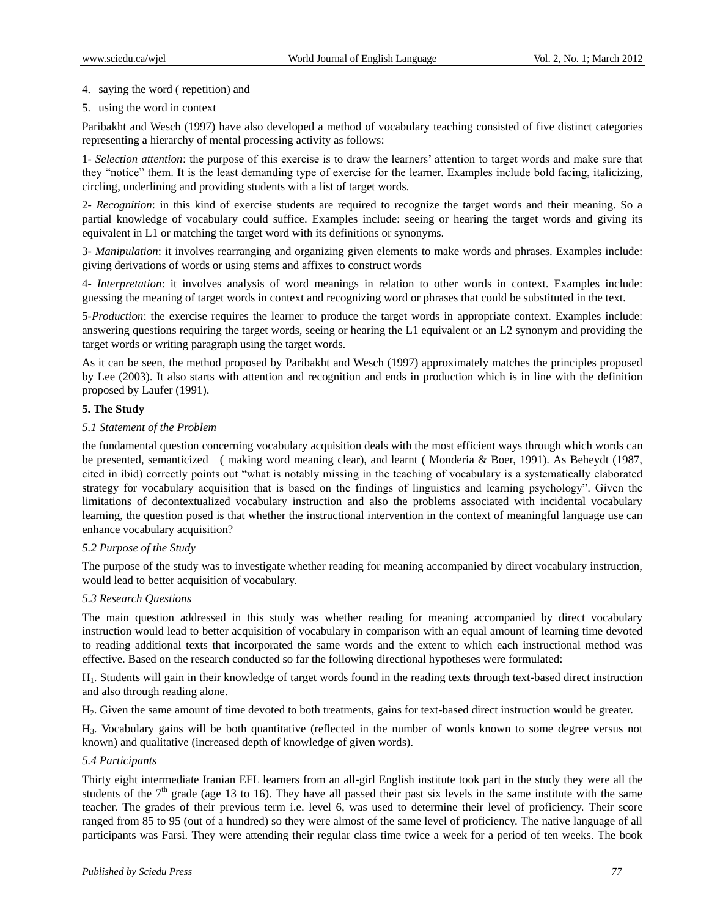## 4. saying the word ( repetition) and

5. using the word in context

Paribakht and Wesch (1997) have also developed a method of vocabulary teaching consisted of five distinct categories representing a hierarchy of mental processing activity as follows:

1- *Selection attention*: the purpose of this exercise is to draw the learners' attention to target words and make sure that they "notice" them. It is the least demanding type of exercise for the learner. Examples include bold facing, italicizing, circling, underlining and providing students with a list of target words.

2- *Recognition*: in this kind of exercise students are required to recognize the target words and their meaning. So a partial knowledge of vocabulary could suffice. Examples include: seeing or hearing the target words and giving its equivalent in L1 or matching the target word with its definitions or synonyms.

3- *Manipulation*: it involves rearranging and organizing given elements to make words and phrases. Examples include: giving derivations of words or using stems and affixes to construct words

4- *Interpretation*: it involves analysis of word meanings in relation to other words in context. Examples include: guessing the meaning of target words in context and recognizing word or phrases that could be substituted in the text.

5-*Production*: the exercise requires the learner to produce the target words in appropriate context. Examples include: answering questions requiring the target words, seeing or hearing the L1 equivalent or an L2 synonym and providing the target words or writing paragraph using the target words.

As it can be seen, the method proposed by Paribakht and Wesch (1997) approximately matches the principles proposed by Lee (2003). It also starts with attention and recognition and ends in production which is in line with the definition proposed by Laufer (1991).

## **5. The Study**

#### *5.1 Statement of the Problem*

the fundamental question concerning vocabulary acquisition deals with the most efficient ways through which words can be presented, semanticized ( making word meaning clear), and learnt ( Monderia & Boer, 1991). As Beheydt (1987, cited in ibid) correctly points out "what is notably missing in the teaching of vocabulary is a systematically elaborated strategy for vocabulary acquisition that is based on the findings of linguistics and learning psychology". Given the limitations of decontextualized vocabulary instruction and also the problems associated with incidental vocabulary learning, the question posed is that whether the instructional intervention in the context of meaningful language use can enhance vocabulary acquisition?

#### *5.2 Purpose of the Study*

The purpose of the study was to investigate whether reading for meaning accompanied by direct vocabulary instruction, would lead to better acquisition of vocabulary.

#### *5.3 Research Questions*

The main question addressed in this study was whether reading for meaning accompanied by direct vocabulary instruction would lead to better acquisition of vocabulary in comparison with an equal amount of learning time devoted to reading additional texts that incorporated the same words and the extent to which each instructional method was effective. Based on the research conducted so far the following directional hypotheses were formulated:

H1. Students will gain in their knowledge of target words found in the reading texts through text-based direct instruction and also through reading alone.

H2. Given the same amount of time devoted to both treatments, gains for text-based direct instruction would be greater.

H3. Vocabulary gains will be both quantitative (reflected in the number of words known to some degree versus not known) and qualitative (increased depth of knowledge of given words).

#### *5.4 Participants*

Thirty eight intermediate Iranian EFL learners from an all-girl English institute took part in the study they were all the students of the  $7<sup>th</sup>$  grade (age 13 to 16). They have all passed their past six levels in the same institute with the same teacher. The grades of their previous term i.e. level 6, was used to determine their level of proficiency. Their score ranged from 85 to 95 (out of a hundred) so they were almost of the same level of proficiency. The native language of all participants was Farsi. They were attending their regular class time twice a week for a period of ten weeks. The book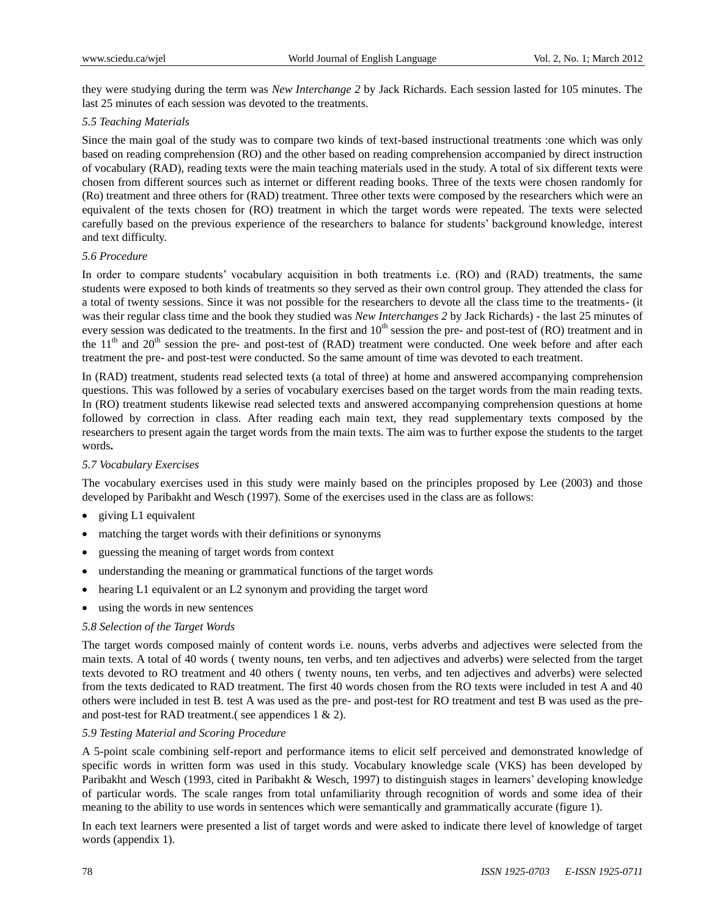they were studying during the term was *New Interchange 2* by Jack Richards. Each session lasted for 105 minutes. The last 25 minutes of each session was devoted to the treatments.

#### *5.5 Teaching Materials*

Since the main goal of the study was to compare two kinds of text-based instructional treatments :one which was only based on reading comprehension (RO) and the other based on reading comprehension accompanied by direct instruction of vocabulary (RAD), reading texts were the main teaching materials used in the study. A total of six different texts were chosen from different sources such as internet or different reading books. Three of the texts were chosen randomly for (Ro) treatment and three others for (RAD) treatment. Three other texts were composed by the researchers which were an equivalent of the texts chosen for (RO) treatment in which the target words were repeated. The texts were selected carefully based on the previous experience of the researchers to balance for students' background knowledge, interest and text difficulty.

## *5.6 Procedure*

In order to compare students' vocabulary acquisition in both treatments i.e. (RO) and (RAD) treatments, the same students were exposed to both kinds of treatments so they served as their own control group. They attended the class for a total of twenty sessions. Since it was not possible for the researchers to devote all the class time to the treatments- (it was their regular class time and the book they studied was *New Interchanges 2* by Jack Richards) - the last 25 minutes of every session was dedicated to the treatments. In the first and  $10<sup>th</sup>$  session the pre- and post-test of (RO) treatment and in the  $11<sup>th</sup>$  and  $20<sup>th</sup>$  session the pre- and post-test of (RAD) treatment were conducted. One week before and after each treatment the pre- and post-test were conducted. So the same amount of time was devoted to each treatment.

In (RAD) treatment, students read selected texts (a total of three) at home and answered accompanying comprehension questions. This was followed by a series of vocabulary exercises based on the target words from the main reading texts. In (RO) treatment students likewise read selected texts and answered accompanying comprehension questions at home followed by correction in class. After reading each main text, they read supplementary texts composed by the researchers to present again the target words from the main texts. The aim was to further expose the students to the target words**.**

#### *5.7 Vocabulary Exercises*

The vocabulary exercises used in this study were mainly based on the principles proposed by Lee (2003) and those developed by Paribakht and Wesch (1997). Some of the exercises used in the class are as follows:

- giving L1 equivalent
- matching the target words with their definitions or synonyms
- guessing the meaning of target words from context
- understanding the meaning or grammatical functions of the target words
- hearing L1 equivalent or an L2 synonym and providing the target word
- using the words in new sentences

#### *5.8 Selection of the Target Words*

The target words composed mainly of content words i.e. nouns, verbs adverbs and adjectives were selected from the main texts. A total of 40 words ( twenty nouns, ten verbs, and ten adjectives and adverbs) were selected from the target texts devoted to RO treatment and 40 others ( twenty nouns, ten verbs, and ten adjectives and adverbs) were selected from the texts dedicated to RAD treatment. The first 40 words chosen from the RO texts were included in test A and 40 others were included in test B. test A was used as the pre- and post-test for RO treatment and test B was used as the preand post-test for RAD treatment.( see appendices 1 & 2).

#### *5.9 Testing Material and Scoring Procedure*

A 5-point scale combining self-report and performance items to elicit self perceived and demonstrated knowledge of specific words in written form was used in this study. Vocabulary knowledge scale (VKS) has been developed by Paribakht and Wesch (1993, cited in Paribakht & Wesch, 1997) to distinguish stages in learners' developing knowledge of particular words. The scale ranges from total unfamiliarity through recognition of words and some idea of their meaning to the ability to use words in sentences which were semantically and grammatically accurate (figure 1).

In each text learners were presented a list of target words and were asked to indicate there level of knowledge of target words (appendix 1).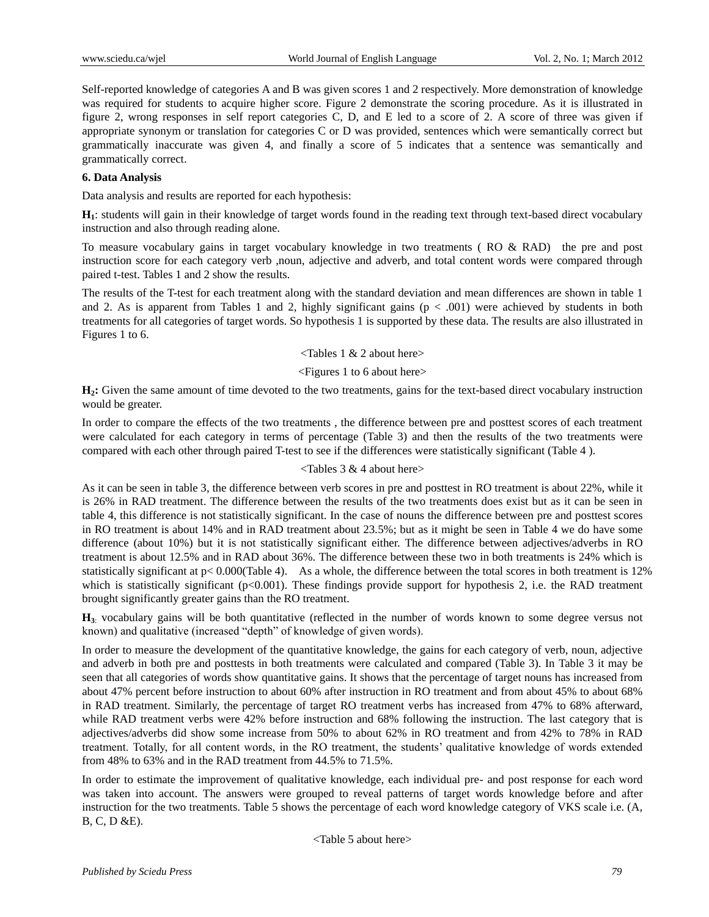Self-reported knowledge of categories A and B was given scores 1 and 2 respectively. More demonstration of knowledge was required for students to acquire higher score. Figure 2 demonstrate the scoring procedure. As it is illustrated in figure 2, wrong responses in self report categories C, D, and E led to a score of 2. A score of three was given if appropriate synonym or translation for categories C or D was provided, sentences which were semantically correct but grammatically inaccurate was given 4, and finally a score of 5 indicates that a sentence was semantically and grammatically correct.

## **6. Data Analysis**

Data analysis and results are reported for each hypothesis:

**H1**: students will gain in their knowledge of target words found in the reading text through text-based direct vocabulary instruction and also through reading alone.

To measure vocabulary gains in target vocabulary knowledge in two treatments ( RO & RAD) the pre and post instruction score for each category verb ,noun, adjective and adverb, and total content words were compared through paired t-test. Tables 1 and 2 show the results.

The results of the T-test for each treatment along with the standard deviation and mean differences are shown in table 1 and 2. As is apparent from Tables 1 and 2, highly significant gains  $(p < .001)$  were achieved by students in both treatments for all categories of target words. So hypothesis 1 is supported by these data. The results are also illustrated in Figures 1 to 6.

#### <Tables 1 & 2 about here>

#### <Figures 1 to 6 about here>

**H2:** Given the same amount of time devoted to the two treatments, gains for the text-based direct vocabulary instruction would be greater.

In order to compare the effects of the two treatments , the difference between pre and posttest scores of each treatment were calculated for each category in terms of percentage (Table 3) and then the results of the two treatments were compared with each other through paired T-test to see if the differences were statistically significant (Table 4 ).

#### <Tables 3 & 4 about here>

As it can be seen in table 3, the difference between verb scores in pre and posttest in RO treatment is about 22%, while it is 26% in RAD treatment. The difference between the results of the two treatments does exist but as it can be seen in table 4, this difference is not statistically significant. In the case of nouns the difference between pre and posttest scores in RO treatment is about 14% and in RAD treatment about 23.5%; but as it might be seen in Table 4 we do have some difference (about 10%) but it is not statistically significant either. The difference between adjectives/adverbs in RO treatment is about 12.5% and in RAD about 36%. The difference between these two in both treatments is 24% which is statistically significant at  $p < 0.000$ (Table 4). As a whole, the difference between the total scores in both treatment is 12% which is statistically significant (p<0.001). These findings provide support for hypothesis 2, i.e. the RAD treatment brought significantly greater gains than the RO treatment.

**H3**: vocabulary gains will be both quantitative (reflected in the number of words known to some degree versus not known) and qualitative (increased "depth" of knowledge of given words).

In order to measure the development of the quantitative knowledge, the gains for each category of verb, noun, adjective and adverb in both pre and posttests in both treatments were calculated and compared (Table 3). In Table 3 it may be seen that all categories of words show quantitative gains. It shows that the percentage of target nouns has increased from about 47% percent before instruction to about 60% after instruction in RO treatment and from about 45% to about 68% in RAD treatment. Similarly, the percentage of target RO treatment verbs has increased from 47% to 68% afterward, while RAD treatment verbs were 42% before instruction and 68% following the instruction. The last category that is adjectives/adverbs did show some increase from 50% to about 62% in RO treatment and from 42% to 78% in RAD treatment. Totally, for all content words, in the RO treatment, the students' qualitative knowledge of words extended from 48% to 63% and in the RAD treatment from 44.5% to 71.5%.

In order to estimate the improvement of qualitative knowledge, each individual pre- and post response for each word was taken into account. The answers were grouped to reveal patterns of target words knowledge before and after instruction for the two treatments. Table 5 shows the percentage of each word knowledge category of VKS scale i.e. (A, B, C, D &E).

<Table 5 about here>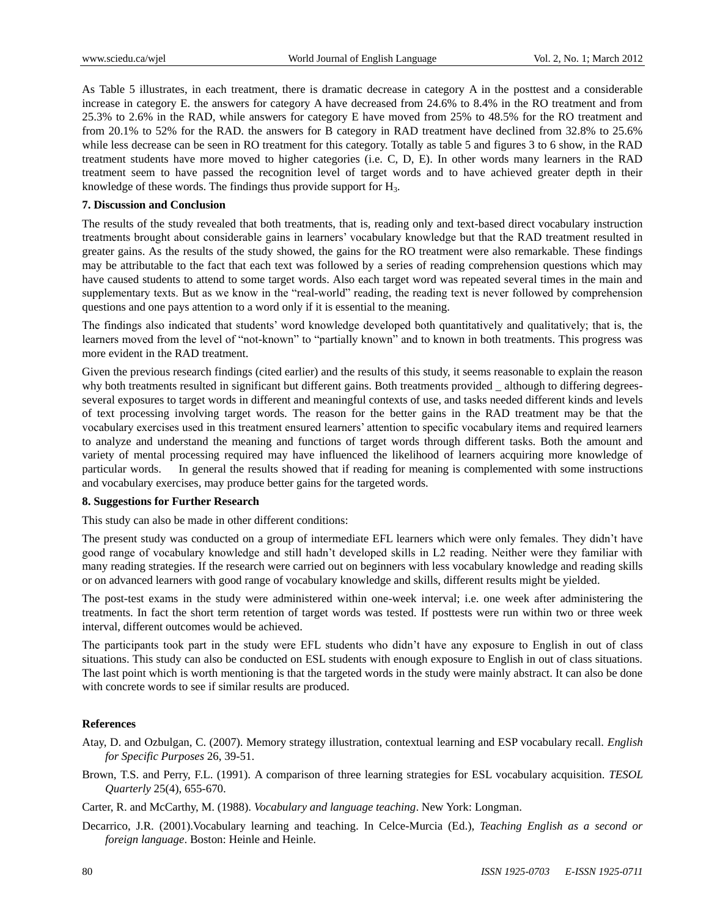As Table 5 illustrates, in each treatment, there is dramatic decrease in category A in the posttest and a considerable increase in category E. the answers for category A have decreased from 24.6% to 8.4% in the RO treatment and from 25.3% to 2.6% in the RAD, while answers for category E have moved from 25% to 48.5% for the RO treatment and from 20.1% to 52% for the RAD. the answers for B category in RAD treatment have declined from 32.8% to 25.6% while less decrease can be seen in RO treatment for this category. Totally as table 5 and figures 3 to 6 show, in the RAD treatment students have more moved to higher categories (i.e. C, D, E). In other words many learners in the RAD treatment seem to have passed the recognition level of target words and to have achieved greater depth in their knowledge of these words. The findings thus provide support for  $H_3$ .

## **7. Discussion and Conclusion**

The results of the study revealed that both treatments, that is, reading only and text-based direct vocabulary instruction treatments brought about considerable gains in learners' vocabulary knowledge but that the RAD treatment resulted in greater gains. As the results of the study showed, the gains for the RO treatment were also remarkable. These findings may be attributable to the fact that each text was followed by a series of reading comprehension questions which may have caused students to attend to some target words. Also each target word was repeated several times in the main and supplementary texts. But as we know in the "real-world" reading, the reading text is never followed by comprehension questions and one pays attention to a word only if it is essential to the meaning.

The findings also indicated that students' word knowledge developed both quantitatively and qualitatively; that is, the learners moved from the level of "not-known" to "partially known" and to known in both treatments. This progress was more evident in the RAD treatment.

Given the previous research findings (cited earlier) and the results of this study, it seems reasonable to explain the reason why both treatments resulted in significant but different gains. Both treatments provided \_although to differing degreesseveral exposures to target words in different and meaningful contexts of use, and tasks needed different kinds and levels of text processing involving target words. The reason for the better gains in the RAD treatment may be that the vocabulary exercises used in this treatment ensured learners' attention to specific vocabulary items and required learners to analyze and understand the meaning and functions of target words through different tasks. Both the amount and variety of mental processing required may have influenced the likelihood of learners acquiring more knowledge of particular words. In general the results showed that if reading for meaning is complemented with some instructions and vocabulary exercises, may produce better gains for the targeted words.

#### **8. Suggestions for Further Research**

This study can also be made in other different conditions:

The present study was conducted on a group of intermediate EFL learners which were only females. They didn't have good range of vocabulary knowledge and still hadn't developed skills in L2 reading. Neither were they familiar with many reading strategies. If the research were carried out on beginners with less vocabulary knowledge and reading skills or on advanced learners with good range of vocabulary knowledge and skills, different results might be yielded.

The post-test exams in the study were administered within one-week interval; i.e. one week after administering the treatments. In fact the short term retention of target words was tested. If posttests were run within two or three week interval, different outcomes would be achieved.

The participants took part in the study were EFL students who didn't have any exposure to English in out of class situations. This study can also be conducted on ESL students with enough exposure to English in out of class situations. The last point which is worth mentioning is that the targeted words in the study were mainly abstract. It can also be done with concrete words to see if similar results are produced.

#### **References**

- Atay, D. and Ozbulgan, C. (2007). Memory strategy illustration, contextual learning and ESP vocabulary recall. *English for Specific Purposes* 26, 39-51.
- Brown, T.S. and Perry, F.L. (1991). A comparison of three learning strategies for ESL vocabulary acquisition. *TESOL Quarterly* 25(4), 655-670.
- Carter, R. and McCarthy, M. (1988). *Vocabulary and language teaching*. New York: Longman.
- Decarrico, J.R. (2001).Vocabulary learning and teaching. In Celce-Murcia (Ed.), *Teaching English as a second or foreign language*. Boston: Heinle and Heinle.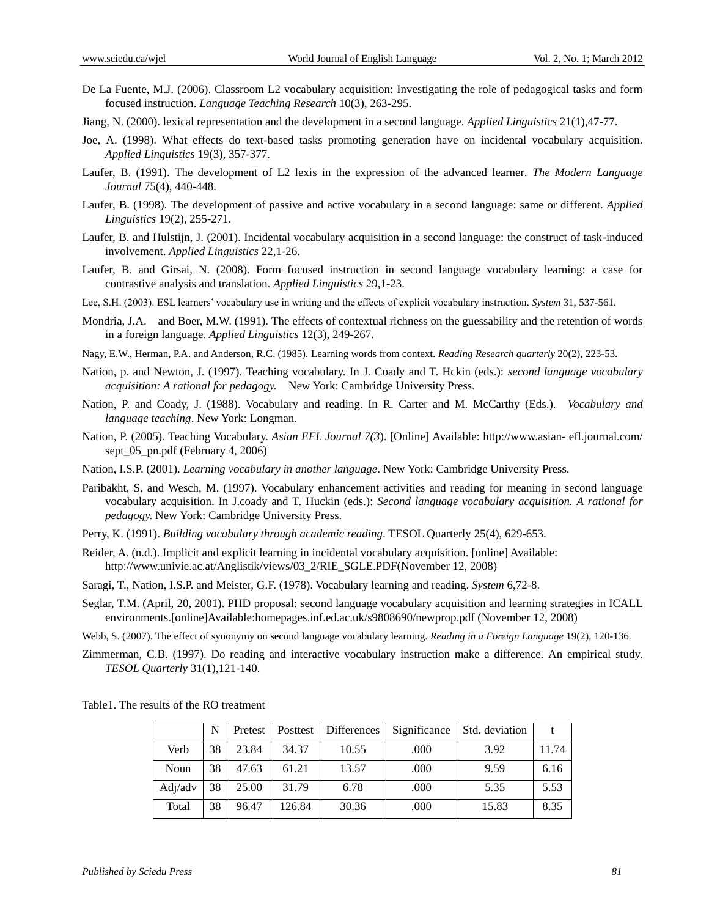- De La Fuente, M.J. (2006). Classroom L2 vocabulary acquisition: Investigating the role of pedagogical tasks and form focused instruction. *Language Teaching Research* 10(3), 263-295.
- Jiang, N. (2000). lexical representation and the development in a second language. *Applied Linguistics* 21(1),47-77.
- Joe, A. (1998). What effects do text-based tasks promoting generation have on incidental vocabulary acquisition. *Applied Linguistics* 19(3), 357-377.
- Laufer, B. (1991). The development of L2 lexis in the expression of the advanced learner*. The Modern Language Journal* 75(4), 440-448.
- Laufer, B. (1998). The development of passive and active vocabulary in a second language: same or different. *Applied Linguistics* 19(2), 255-271.
- Laufer, B. and Hulstijn, J. (2001). Incidental vocabulary acquisition in a second language: the construct of task-induced involvement. *Applied Linguistics* 22,1-26.
- Laufer, B. and Girsai, N. (2008). Form focused instruction in second language vocabulary learning: a case for contrastive analysis and translation. *Applied Linguistics* 29,1-23.
- Lee, S.H. (2003). ESL learners' vocabulary use in writing and the effects of explicit vocabulary instruction. *System* 31, 537-561.
- Mondria, J.A. and Boer, M.W. (1991). The effects of contextual richness on the guessability and the retention of words in a foreign language. *Applied Linguistics* 12(3), 249-267.
- Nagy, E.W., Herman, P.A. and Anderson, R.C. (1985). Learning words from context. *Reading Research quarterly* 20(2), 223-53.
- Nation, p. and Newton, J. (1997). Teaching vocabulary. In J. Coady and T. Hckin (eds.): *second language vocabulary acquisition: A rational for pedagogy.* New York: Cambridge University Press.
- Nation, P. and Coady, J. (1988). Vocabulary and reading. In R. Carter and M. McCarthy (Eds.). *Vocabulary and language teaching*. New York: Longman.
- Nation, P. (2005). Teaching Vocabulary. *Asian EFL Journal 7(3*). [Online] Available: http://www.asian- efl.journal.com/ sept\_05\_pn.pdf (February 4, 2006)
- Nation, I.S.P. (2001). *Learning vocabulary in another language*. New York: Cambridge University Press.
- Paribakht, S. and Wesch, M. (1997). Vocabulary enhancement activities and reading for meaning in second language vocabulary acquisition. In J.coady and T. Huckin (eds.): *Second language vocabulary acquisition. A rational for pedagogy.* New York: Cambridge University Press.
- Perry, K. (1991). *Building vocabulary through academic reading*. TESOL Quarterly 25(4), 629-653.
- Reider, A. (n.d.). Implicit and explicit learning in incidental vocabulary acquisition. [online] Available: http:/[/www.univie.ac.at/Anglistik/views/03\\_2/RIE\\_SGLE.PDF\(November](http://www.univie.ac.at/Anglistik/views/03_2/RIE_SGLE.PDF(November) 12, 2008)
- Saragi, T., Nation, I.S.P. and Meister, G.F. (1978). Vocabulary learning and reading. *System* 6,72-8.
- Seglar, T.M. (April, 20, 2001). PHD proposal: second language vocabulary acquisition and learning strategies in ICALL environments.[online]Available:homepages.inf.ed.ac.uk/s9808690/newprop.pdf (November 12, 2008)
- Webb, S. (2007). The effect of synonymy on second language vocabulary learning. *Reading in a Foreign Language* 19(2), 120-136.
- Zimmerman, C.B. (1997). Do reading and interactive vocabulary instruction make a difference. An empirical study. *TESOL Quarterly* 31(1),121-140.

Table1. The results of the RO treatment

|         | N  | Pretest | Posttest | <b>Differences</b> | Significance | Std. deviation |       |
|---------|----|---------|----------|--------------------|--------------|----------------|-------|
| Verb    | 38 | 23.84   | 34.37    | 10.55              | .000         | 3.92           | 11.74 |
| Noun    | 38 | 47.63   | 61.21    | 13.57              | .000         | 9.59           | 6.16  |
| Adj/adv | 38 | 25.00   | 31.79    | 6.78               | .000         | 5.35           | 5.53  |
| Total   | 38 | 96.47   | 126.84   | 30.36              | .000         | 15.83          | 8.35  |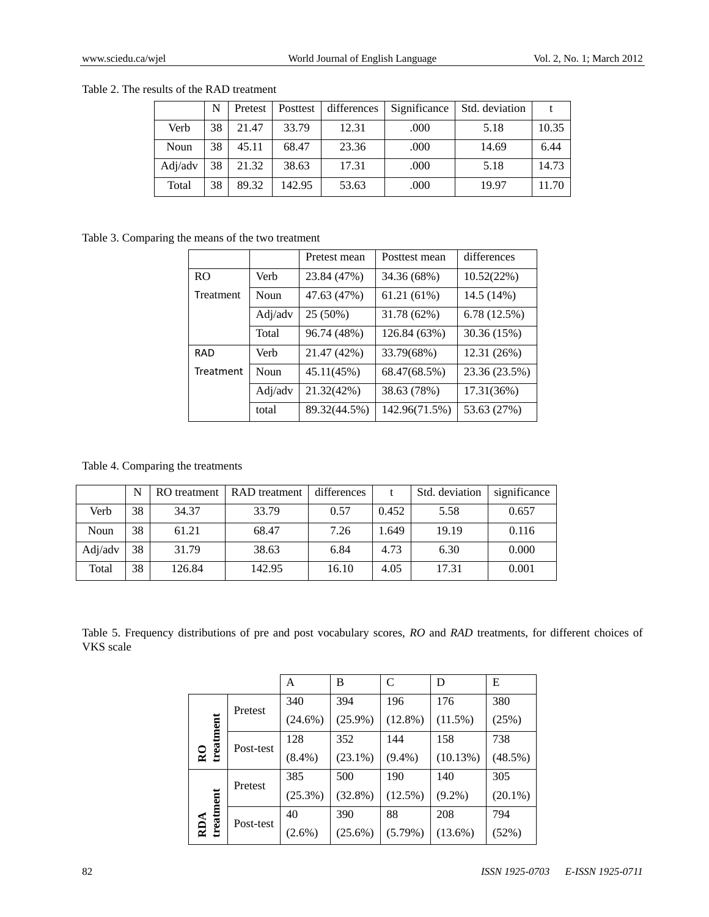|         | N  | Pretest | Posttest | differences | Significance | Std. deviation |       |
|---------|----|---------|----------|-------------|--------------|----------------|-------|
| Verb    | 38 | 21.47   | 33.79    | 12.31       | .000         | 5.18           | 10.35 |
| Noun    | 38 | 45.11   | 68.47    | 23.36       | .000         | 14.69          | 6.44  |
| Adj/adv | 38 | 21.32   | 38.63    | 17.31       | .000         | 5.18           | 14.73 |
| Total   | 38 | 89.32   | 142.95   | 53.63       | .000         | 19.97          | 11.70 |

Table 2. The results of the RAD treatment

Table 3. Comparing the means of the two treatment

|                |         | Pretest mean | Posttest mean | differences   |
|----------------|---------|--------------|---------------|---------------|
| R <sub>O</sub> | Verb    | 23.84 (47%)  | 34.36 (68%)   | 10.52(22%)    |
| Treatment      | Noun    | 47.63 (47%)  | 61.21 (61%)   | 14.5 (14%)    |
|                | Adj/adv | 25 (50%)     | 31.78 (62%)   | 6.78(12.5%)   |
|                | Total   | 96.74 (48%)  | 126.84 (63%)  | 30.36 (15%)   |
| <b>RAD</b>     | Verb    | 21.47 (42%)  | 33.79(68%)    | 12.31 (26%)   |
| Treatment      | Noun    | 45.11(45%)   | 68.47(68.5%)  | 23.36 (23.5%) |
|                | Adj/adv | 21.32(42%)   | 38.63 (78%)   | 17.31(36%)    |
|                | total   | 89.32(44.5%) | 142.96(71.5%) | 53.63 (27%)   |

Table 4. Comparing the treatments

|         | N  | RO treatment | RAD treatment | differences |       | Std. deviation | significance |
|---------|----|--------------|---------------|-------------|-------|----------------|--------------|
| Verb    | 38 | 34.37        | 33.79         | 0.57        | 0.452 | 5.58           | 0.657        |
| Noun    | 38 | 61.21        | 68.47         | 7.26        | 1.649 | 19.19          | 0.116        |
| Adj/adv | 38 | 31.79        | 38.63         | 6.84        | 4.73  | 6.30           | 0.000        |
| Total   | 38 | 126.84       | 142.95        | 16.10       | 4.05  | 17.31          | 0.001        |

Table 5. Frequency distributions of pre and post vocabulary scores, *RO* and *RAD* treatments, for different choices of VKS scale

|                             |           | A          | B          | $\mathcal{C}$ | D          | E          |
|-----------------------------|-----------|------------|------------|---------------|------------|------------|
| treatment<br>$\overline{R}$ | Pretest   | 340        | 394        | 196           | 176        | 380        |
|                             |           | $(24.6\%)$ | $(25.9\%)$ | $(12.8\%)$    | $(11.5\%)$ | (25%)      |
|                             | Post-test | 128        | 352        | 144           | 158        | 738        |
|                             |           | $(8.4\%)$  | $(23.1\%)$ | $(9.4\%)$     | (10.13%)   | $(48.5\%)$ |
| treatment<br>RDA            | Pretest   | 385        | 500        | 190           | 140        | 305        |
|                             |           | $(25.3\%)$ | $(32.8\%)$ | $(12.5\%)$    | $(9.2\%)$  | $(20.1\%)$ |
|                             | Post-test | 40         | 390        | 88            | 208        | 794        |
|                             |           | $(2.6\%)$  | $(25.6\%)$ | $(5.79\%)$    | $(13.6\%)$ | (52%)      |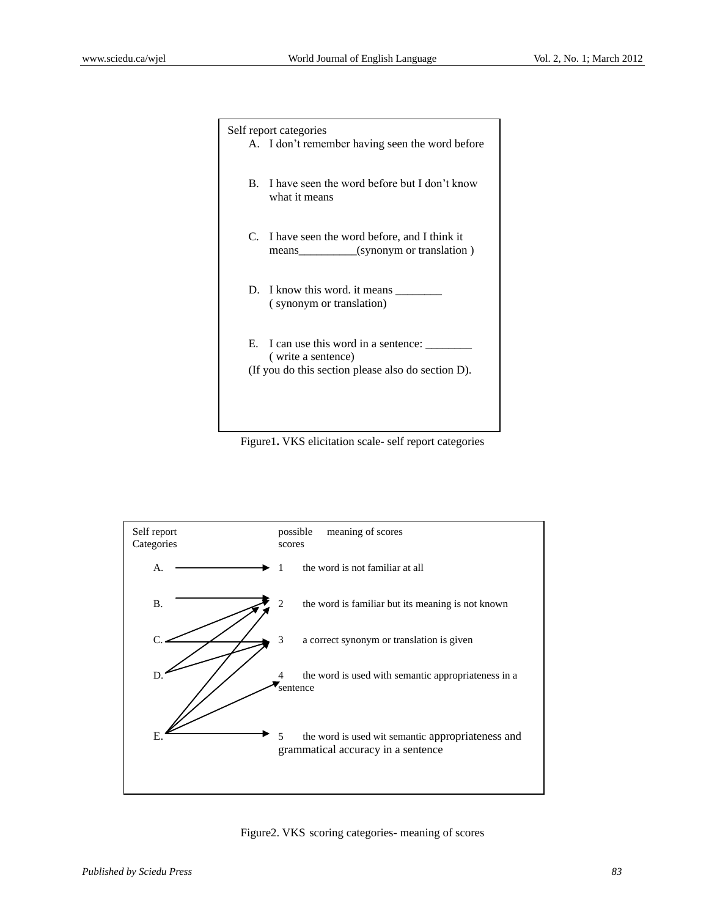| Self report categories                                             |
|--------------------------------------------------------------------|
| A. I don't remember having seen the word before                    |
| B. I have seen the word before but I don't know                    |
| what it means                                                      |
| C. I have seen the word before, and I think it                     |
| means (synonym or translation)                                     |
|                                                                    |
| D. I know this word, it means                                      |
| (synonym or translation)                                           |
|                                                                    |
| E. I can use this word in a sentence: ______<br>(write a sentence) |
| (If you do this section please also do section D).                 |
|                                                                    |
|                                                                    |
|                                                                    |

Figure1**.** VKS elicitation scale- self report categories



Figure2. VKS scoring categories- meaning of scores